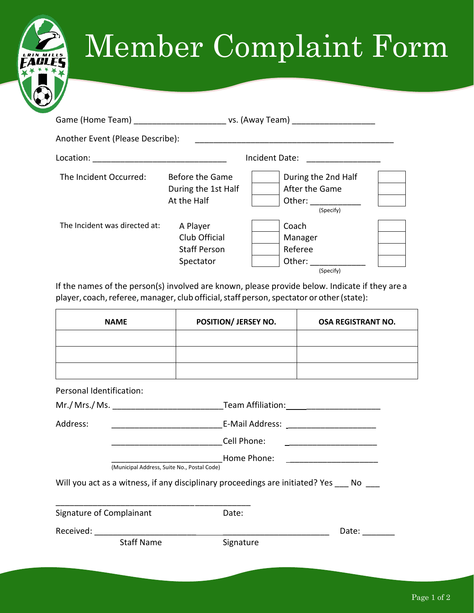## Member Complaint Form

| Another Event (Please Describe): |                                                               |                                                                                                                                                                                                                                                                                      |  |
|----------------------------------|---------------------------------------------------------------|--------------------------------------------------------------------------------------------------------------------------------------------------------------------------------------------------------------------------------------------------------------------------------------|--|
| Location:                        |                                                               | Incident Date:                                                                                                                                                                                                                                                                       |  |
| The Incident Occurred:           | Before the Game<br>During the 1st Half<br>At the Half         | During the 2nd Half<br>After the Game<br>Other: and the state of the state of the state of the state of the state of the state of the state of the state of the state of the state of the state of the state of the state of the state of the state of the state of the<br>(Specify) |  |
| The Incident was directed at:    | A Player<br>Club Official<br><b>Staff Person</b><br>Spectator | Coach<br>Manager<br>Referee<br>Other:<br>(Specify)                                                                                                                                                                                                                                   |  |

If the names of the person(s) involved are known, please provide below. Indicate if they are a player, coach, referee, manager, club official, staff person, spectator or other (state):

| <b>NAME</b>              | POSITION/ JERSEY NO. | <b>OSA REGISTRANT NO.</b> |
|--------------------------|----------------------|---------------------------|
|                          |                      |                           |
|                          |                      |                           |
|                          |                      |                           |
| Personal Identification: |                      |                           |

| Mr./ Mrs./ Ms.                                                                   |                                             |                                                              |       |  |  |  |
|----------------------------------------------------------------------------------|---------------------------------------------|--------------------------------------------------------------|-------|--|--|--|
| Address:                                                                         | E-Mail Address:                             |                                                              |       |  |  |  |
|                                                                                  |                                             | Cell Phone:                                                  |       |  |  |  |
|                                                                                  | (Municipal Address, Suite No., Postal Code) | Home Phone:<br><u> 1989 - Johann Stein, fransk politik (</u> |       |  |  |  |
| Will you act as a witness, if any disciplinary proceedings are initiated? Yes No |                                             |                                                              |       |  |  |  |
| Signature of Complainant                                                         |                                             | Date:                                                        |       |  |  |  |
| Received:                                                                        |                                             |                                                              | Date: |  |  |  |
|                                                                                  | <b>Staff Name</b>                           | Signature                                                    |       |  |  |  |